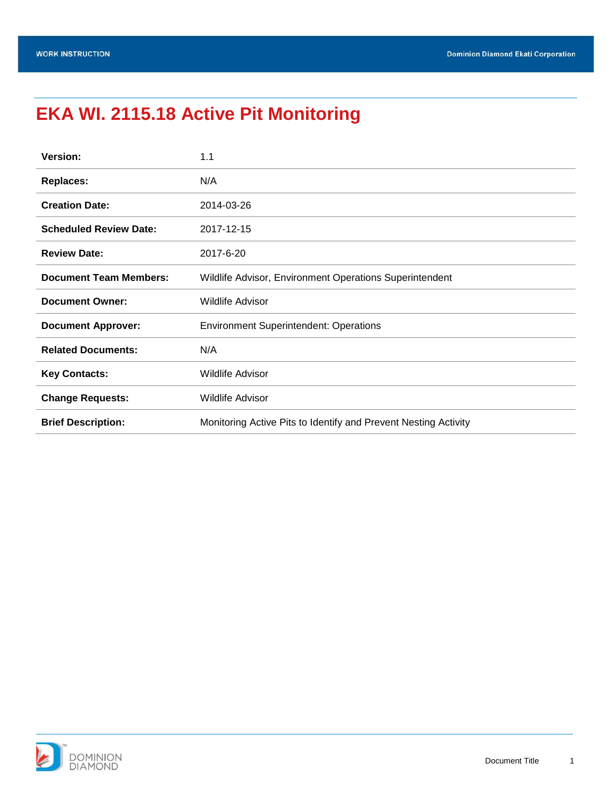# <span id="page-0-0"></span>**EKA WI. 2115.18 Active Pit Monitoring**

| <b>Version:</b>               | 1.1                                                             |  |
|-------------------------------|-----------------------------------------------------------------|--|
| <b>Replaces:</b>              | N/A                                                             |  |
| <b>Creation Date:</b>         | 2014-03-26                                                      |  |
| <b>Scheduled Review Date:</b> | 2017-12-15                                                      |  |
| <b>Review Date:</b>           | 2017-6-20                                                       |  |
| <b>Document Team Members:</b> | Wildlife Advisor, Environment Operations Superintendent         |  |
| <b>Document Owner:</b>        | Wildlife Advisor                                                |  |
| <b>Document Approver:</b>     | <b>Environment Superintendent: Operations</b>                   |  |
| <b>Related Documents:</b>     | N/A                                                             |  |
| <b>Key Contacts:</b>          | <b>Wildlife Advisor</b>                                         |  |
| <b>Change Requests:</b>       | <b>Wildlife Advisor</b>                                         |  |
| <b>Brief Description:</b>     | Monitoring Active Pits to Identify and Prevent Nesting Activity |  |

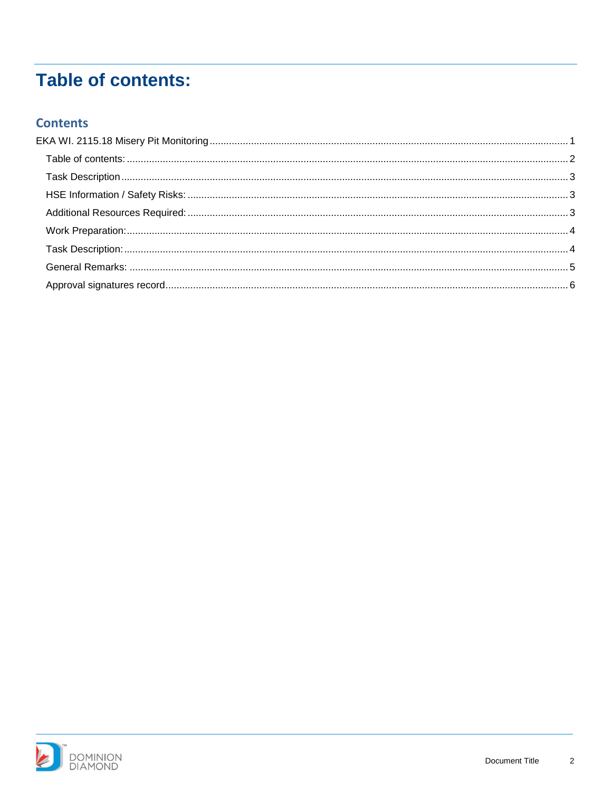## <span id="page-1-0"></span>**Table of contents:**

#### **Contents**

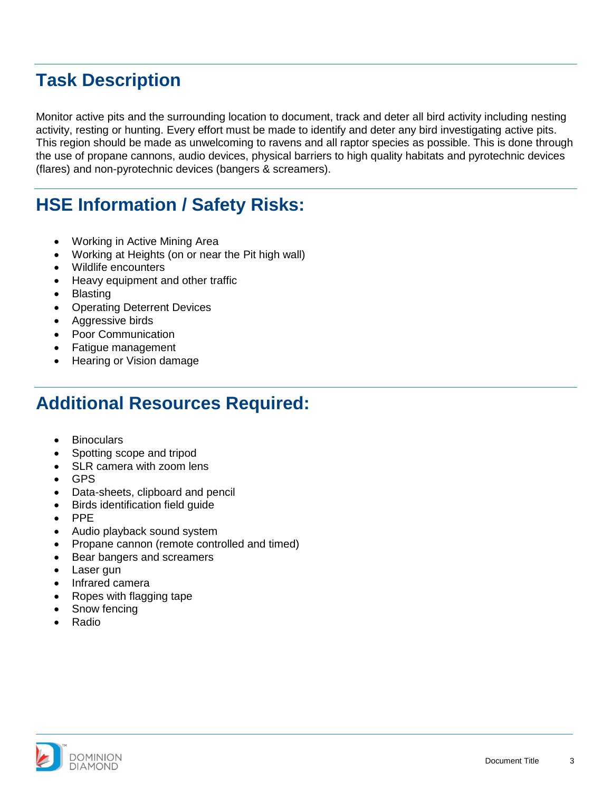### <span id="page-2-0"></span>**Task Description**

Monitor active pits and the surrounding location to document, track and deter all bird activity including nesting activity, resting or hunting. Every effort must be made to identify and deter any bird investigating active pits. This region should be made as unwelcoming to ravens and all raptor species as possible. This is done through the use of propane cannons, audio devices, physical barriers to high quality habitats and pyrotechnic devices (flares) and non-pyrotechnic devices (bangers & screamers).

#### <span id="page-2-1"></span>**HSE Information / Safety Risks:**

- Working in Active Mining Area
- Working at Heights (on or near the Pit high wall)
- Wildlife encounters
- Heavy equipment and other traffic
- **Blasting**
- Operating Deterrent Devices
- Aggressive birds
- Poor Communication
- Fatigue management
- Hearing or Vision damage

#### <span id="page-2-2"></span>**Additional Resources Required:**

- Binoculars
- Spotting scope and tripod
- SLR camera with zoom lens
- GPS
- Data-sheets, clipboard and pencil
- Birds identification field guide
- PPE
- Audio playback sound system
- Propane cannon (remote controlled and timed)
- Bear bangers and screamers
- Laser gun
- Infrared camera
- Ropes with flagging tape
- Snow fencing
- Radio

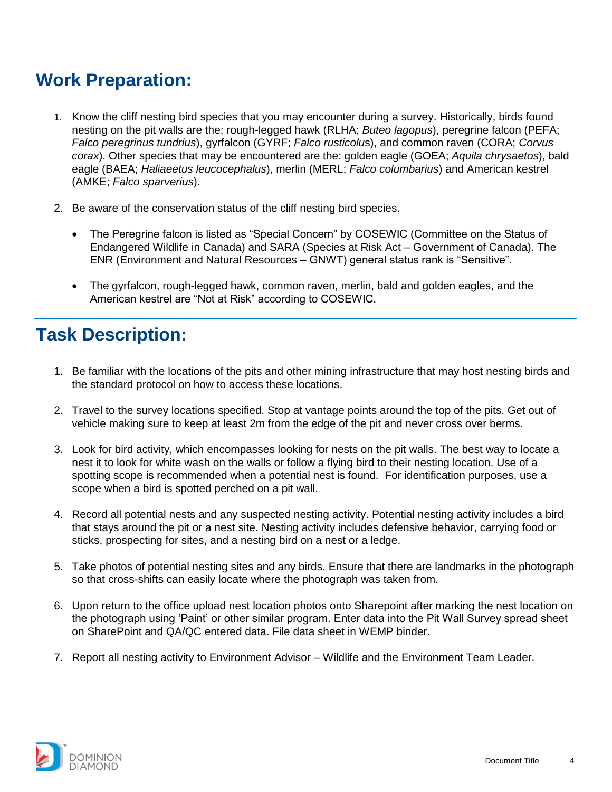### <span id="page-3-0"></span>**Work Preparation:**

- 1. Know the cliff nesting bird species that you may encounter during a survey. Historically, birds found nesting on the pit walls are the: rough-legged hawk (RLHA; *Buteo lagopus*), peregrine falcon (PEFA; *Falco peregrinus tundrius*), gyrfalcon (GYRF; *Falco rusticolu*s), and common raven (CORA; *Corvus corax*). Other species that may be encountered are the: golden eagle (GOEA; *Aquila chrysaetos*), bald eagle (BAEA; *Haliaeetus leucocephalus*), merlin (MERL; *Falco columbarius*) and American kestrel (AMKE; *Falco sparverius*).
- 2. Be aware of the conservation status of the cliff nesting bird species.
	- The Peregrine falcon is listed as "Special Concern" by COSEWIC (Committee on the Status of Endangered Wildlife in Canada) and SARA (Species at Risk Act – Government of Canada). The ENR (Environment and Natural Resources – GNWT) general status rank is "Sensitive".
	- The gyrfalcon, rough-legged hawk, common raven, merlin, bald and golden eagles, and the American kestrel are "Not at Risk" according to COSEWIC.

#### <span id="page-3-1"></span>**Task Description:**

- 1. Be familiar with the locations of the pits and other mining infrastructure that may host nesting birds and the standard protocol on how to access these locations.
- 2. Travel to the survey locations specified. Stop at vantage points around the top of the pits. Get out of vehicle making sure to keep at least 2m from the edge of the pit and never cross over berms.
- 3. Look for bird activity, which encompasses looking for nests on the pit walls. The best way to locate a nest it to look for white wash on the walls or follow a flying bird to their nesting location. Use of a spotting scope is recommended when a potential nest is found. For identification purposes, use a scope when a bird is spotted perched on a pit wall.
- 4. Record all potential nests and any suspected nesting activity. Potential nesting activity includes a bird that stays around the pit or a nest site. Nesting activity includes defensive behavior, carrying food or sticks, prospecting for sites, and a nesting bird on a nest or a ledge.
- 5. Take photos of potential nesting sites and any birds. Ensure that there are landmarks in the photograph so that cross-shifts can easily locate where the photograph was taken from.
- 6. Upon return to the office upload nest location photos onto Sharepoint after marking the nest location on the photograph using 'Paint' or other similar program. Enter data into the Pit Wall Survey spread sheet on SharePoint and QA/QC entered data. File data sheet in WEMP binder.
- 7. Report all nesting activity to Environment Advisor Wildlife and the Environment Team Leader.

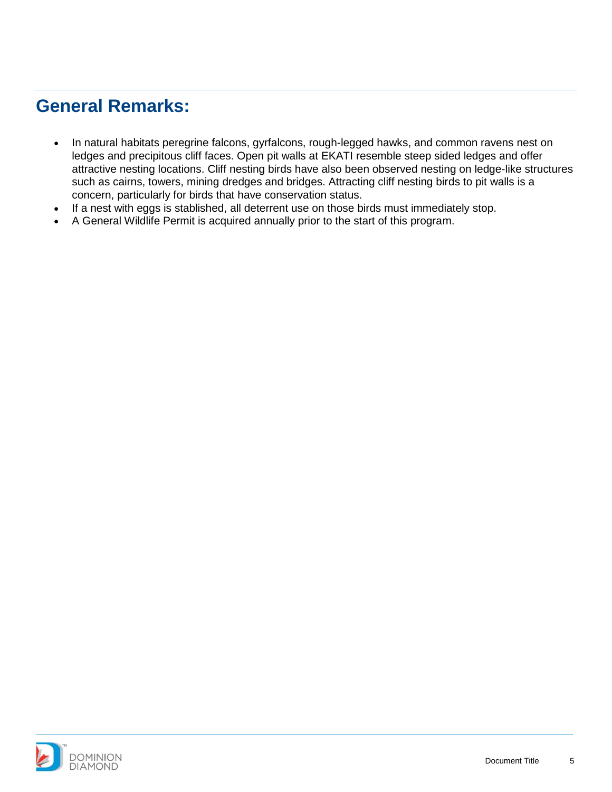#### <span id="page-4-0"></span>**General Remarks:**

- In natural habitats peregrine falcons, gyrfalcons, rough-legged hawks, and common ravens nest on ledges and precipitous cliff faces. Open pit walls at EKATI resemble steep sided ledges and offer attractive nesting locations. Cliff nesting birds have also been observed nesting on ledge-like structures such as cairns, towers, mining dredges and bridges. Attracting cliff nesting birds to pit walls is a concern, particularly for birds that have conservation status.
- If a nest with eggs is stablished, all deterrent use on those birds must immediately stop.
- A General Wildlife Permit is acquired annually prior to the start of this program.